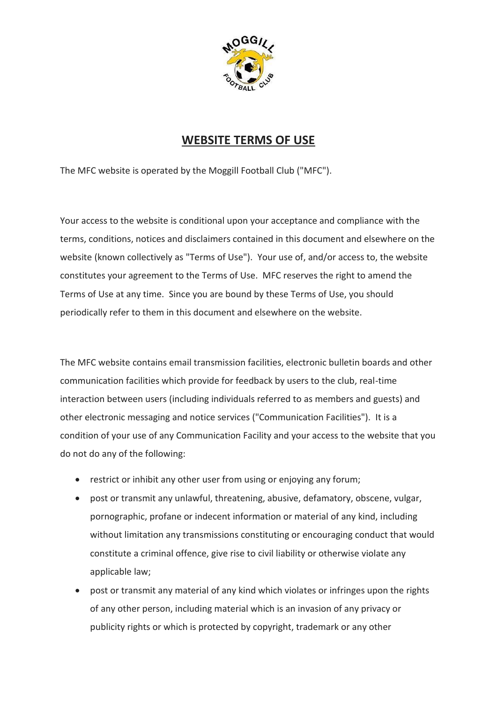

## **WEBSITE TERMS OF USE**

The MFC website is operated by the Moggill Football Club ("MFC").

Your access to the website is conditional upon your acceptance and compliance with the terms, conditions, notices and disclaimers contained in this document and elsewhere on the website (known collectively as "Terms of Use"). Your use of, and/or access to, the website constitutes your agreement to the Terms of Use. MFC reserves the right to amend the Terms of Use at any time. Since you are bound by these Terms of Use, you should periodically refer to them in this document and elsewhere on the website.

The MFC website contains email transmission facilities, electronic bulletin boards and other communication facilities which provide for feedback by users to the club, real-time interaction between users (including individuals referred to as members and guests) and other electronic messaging and notice services ("Communication Facilities"). It is a condition of your use of any Communication Facility and your access to the website that you do not do any of the following:

- restrict or inhibit any other user from using or enjoying any forum;
- post or transmit any unlawful, threatening, abusive, defamatory, obscene, vulgar, pornographic, profane or indecent information or material of any kind, including without limitation any transmissions constituting or encouraging conduct that would constitute a criminal offence, give rise to civil liability or otherwise violate any applicable law;
- post or transmit any material of any kind which violates or infringes upon the rights of any other person, including material which is an invasion of any privacy or publicity rights or which is protected by copyright, trademark or any other